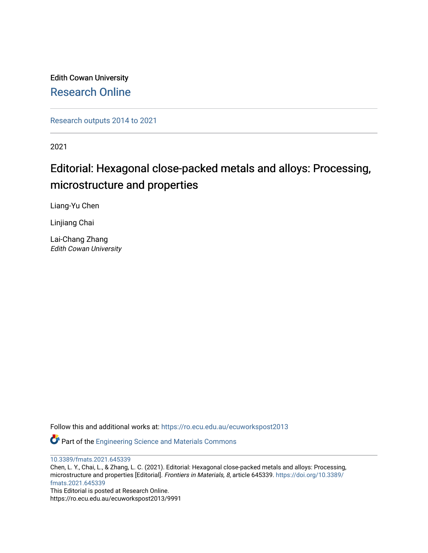Edith Cowan University [Research Online](https://ro.ecu.edu.au/) 

[Research outputs 2014 to 2021](https://ro.ecu.edu.au/ecuworkspost2013) 

2021

## Editorial: Hexagonal close-packed metals and alloys: Processing, microstructure and properties

Liang-Yu Chen

Linjiang Chai

Lai-Chang Zhang Edith Cowan University

Follow this and additional works at: [https://ro.ecu.edu.au/ecuworkspost2013](https://ro.ecu.edu.au/ecuworkspost2013?utm_source=ro.ecu.edu.au%2Fecuworkspost2013%2F9991&utm_medium=PDF&utm_campaign=PDFCoverPages) 

Part of the [Engineering Science and Materials Commons](http://network.bepress.com/hgg/discipline/279?utm_source=ro.ecu.edu.au%2Fecuworkspost2013%2F9991&utm_medium=PDF&utm_campaign=PDFCoverPages) 

[10.3389/fmats.2021.645339](http://dx.doi.org/10.3389/fmats.2021.645339)

Chen, L. Y., Chai, L., & Zhang, L. C. (2021). Editorial: Hexagonal close-packed metals and alloys: Processing, microstructure and properties [Editorial]. Frontiers in Materials, 8, article 645339. [https://doi.org/10.3389/](https://doi.org/10.3389/fmats.2021.645339) [fmats.2021.645339](https://doi.org/10.3389/fmats.2021.645339)  This Editorial is posted at Research Online.

https://ro.ecu.edu.au/ecuworkspost2013/9991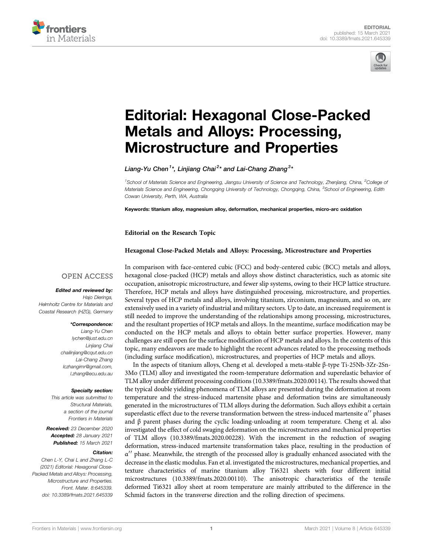



# [Editorial: Hexagonal Close-Packed](https://www.frontiersin.org/articles/10.3389/fmats.2021.645339/full) [Metals and Alloys: Processing,](https://www.frontiersin.org/articles/10.3389/fmats.2021.645339/full) [Microstructure and Properties](https://www.frontiersin.org/articles/10.3389/fmats.2021.645339/full)

Liang-Yu Chen<sup>1</sup>\*, Linjiang Chai<sup>2</sup>\* and Lai-Chang Zhang<sup>3</sup>\*

<sup>1</sup>School of Materials Science and Engineering, Jiangsu University of Science and Technology, Zhenjiang, China, <sup>2</sup>College of Materials Science and Engineering, Chongqing University of Technology, Chongqing, China, <sup>3</sup>School of Engineering, Edith Cowan University, Perth, WA, Australia

Keywords: titanium alloy, magnesium alloy, deformation, mechanical properties, micro-arc oxidation

Editorial on the Research Topic

#### [Hexagonal Close-Packed Metals and Alloys: Processing, Microstructure and Properties](https://www.frontiersin.org/researchtopic/12882)

#### **OPEN ACCESS**

#### Edited and reviewed by:

Hajo Dieringa. Helmholtz Centre for Materials and Coastal Research (HZG), Germany

#### \*Correspondence:

Liang-Yu Chen [lychen@just.edu.](mailto:lychen@just.edu.)cn Linjiang Chai [chailinjiang@cqut.edu.](mailto:chailinjiang@cqut.edu.)cn Lai-Chang Zhang [lczhangimr@gmail.com,](mailto:lczhangimr@gmail.com,l.zhang@ecu.edu.) [l.zhang@ecu.edu.](mailto:lczhangimr@gmail.com,l.zhang@ecu.edu.)au

#### Specialty section:

This article was submitted to Structural Materials, a section of the journal Frontiers in Materials

Received: 23 December 2020 Accepted: 28 January 2021 Published: 15 March 2021

#### Citation:

Chen L-Y, Chai L and Zhang L-C (2021) Editorial: Hexagonal Close-Packed Metals and Alloys: Processing, Microstructure and Properties. Front. Mater. 8:645339. doi: [10.3389/fmats.2021.645339](https://doi.org/10.3389/fmats.2021.645339) In comparison with face-centered cubic (FCC) and body-centered cubic (BCC) metals and alloys, hexagonal close-packed (HCP) metals and alloys show distinct characteristics, such as atomic site occupation, anisotropic microstructure, and fewer slip systems, owing to their HCP lattice structure. Therefore, HCP metals and alloys have distinguished processing, microstructure, and properties. Several types of HCP metals and alloys, involving titanium, zirconium, magnesium, and so on, are extensively used in a variety of industrial and military sectors. Up to date, an increased requirement is still needed to improve the understanding of the relationships among processing, microstructures, and the resultant properties of HCP metals and alloys. In the meantime, surface modification may be conducted on the HCP metals and alloys to obtain better surface properties. However, many challenges are still open for the surface modification of HCP metals and alloys. In the contents of this topic, many endeavors are made to highlight the recent advances related to the processing methods (including surface modification), microstructures, and properties of HCP metals and alloys.

In the aspects of titanium alloys, [Cheng et al.](https://www.frontiersin.org/articles/10.3389/fmats.2020.00114/full) developed a meta-stable β-type Ti-25Nb-3Zr-2Sn-3Mo (TLM) alloy and investigated the room-temperature deformation and superelastic behavior of TLM alloy under different processing conditions (10.3389/fmats.2020.00114). The results showed that the typical double yielding phenomena of TLM alloys are presented during the deformation at room temperature and the stress-induced martensite phase and deformation twins are simultaneously generated in the microstructures of TLM alloys during the deformation. Such alloys exhibit a certain superelastic effect due to the reverse transformation between the stress-induced martensite α′′ phases and  $\beta$  parent phases during the cyclic loading-unloading at room temperature. [Cheng et al.](https://www.frontiersin.org/articles/10.3389/fmats.2020.00228/full) also investigated the effect of cold swaging deformation on the microstructures and mechanical properties of TLM alloys (10.3389/fmats.2020.00228). With the increment in the reduction of swaging deformation, stress-induced martensite transformation takes place, resulting in the production of α′′ phase. Meanwhile, the strength of the processed alloy is gradually enhanced associated with the decrease in the elastic modulus. [Fan et al.](https://www.frontiersin.org/articles/10.3389/fmats.2020.00110/full) investigated the microstructures, mechanical properties, and texture characteristics of marine titanium alloy Ti6321 sheets with four different initial microstructures (10.3389/fmats.2020.00110). The anisotropic characteristics of the tensile deformed Ti6321 alloy sheet at room temperature are mainly attributed to the difference in the Schmid factors in the transverse direction and the rolling direction of specimens.